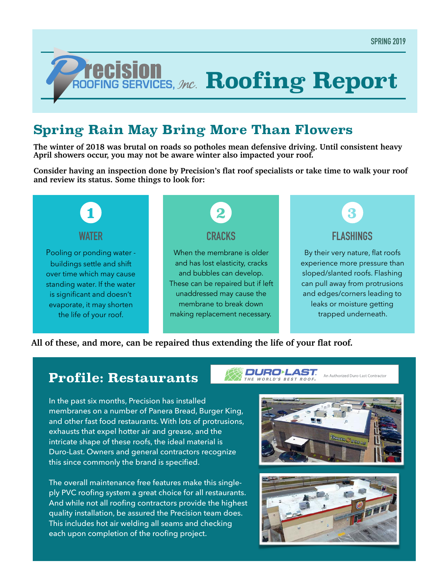# *ROOFING SERVICES, Jnc.* Roofing Report

## **Spring Rain May Bring More Than Flowers**

**The winter of 2018 was brutal on roads so potholes mean defensive driving. Until consistent heavy April showers occur, you may not be aware winter also impacted your roof.** 

**Consider having an inspection done by Precision's flat roof specialists or take time to walk your roof and review its status. Some things to look for:**



#### **All of these, and more, can be repaired thus extending the life of your flat roof.**

### **Profile: Restaurants**

DURO**·LAST** THE WORLD'S BEST ROOF

In the past six months, Precision has installed membranes on a number of Panera Bread, Burger King, and other fast food restaurants. With lots of protrusions, exhausts that expel hotter air and grease, and the intricate shape of these roofs, the ideal material is Duro-Last. Owners and general contractors recognize this since commonly the brand is specified.

The overall maintenance free features make this singleply PVC roofing system a great choice for all restaurants. And while not all roofing contractors provide the highest quality installation, be assured the Precision team does. This includes hot air welding all seams and checking each upon completion of the roofing project.